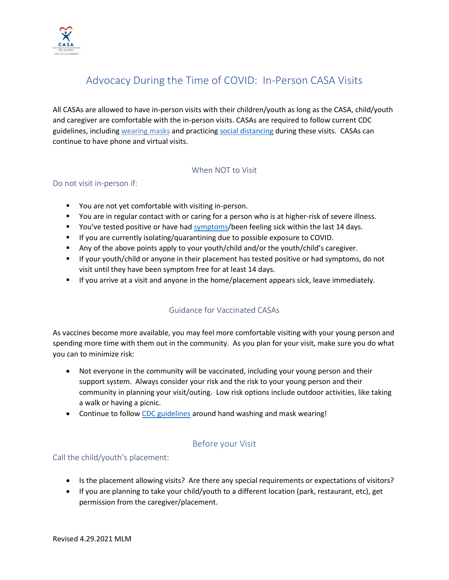

# Advocacy During the Time of COVID: In-Person CASA Visits

All CASAs are allowed to have in-person visits with their children/youth as long as the CASA, child/youth and caregiver are comfortable with the in-person visits. CASAs are required to follow current CDC guidelines, including [wearing](https://www.cdc.gov/coronavirus/2019-ncov/prevent-getting-sick/about-face-coverings.html) masks and practicing [social distancing](https://www.cdc.gov/coronavirus/2019-ncov/prevent-getting-sick/social-distancing.html) during these visits. CASAs can continue to have phone and virtual visits.

#### When NOT to Visit

## Do not visit in-person if:

- You are not yet comfortable with visiting in-person.
- You are in regular contact with or caring for a person who is at higher-risk of severe illness.
- You've tested positive or have had [symptoms/](https://www.cdc.gov/coronavirus/2019-ncov/symptoms-testing/symptoms.html)been feeling sick within the last 14 days.
- **E** If you are currently isolating/quarantining due to possible exposure to COVID.
- Any of the above points apply to your youth/child and/or the youth/child's caregiver.
- **■** If your youth/child or anyone in their placement has tested positive or had symptoms, do not visit until they have been symptom free for at least 14 days.
- **■** If you arrive at a visit and anyone in the home/placement appears sick, leave immediately.

# Guidance for Vaccinated CASAs

As vaccines become more available, you may feel more comfortable visiting with your young person and spending more time with them out in the community. As you plan for your visit, make sure you do what you can to minimize risk:

- Not everyone in the community will be vaccinated, including your young person and their support system. Always consider your risk and the risk to your young person and their community in planning your visit/outing. Low risk options include outdoor activities, like taking a walk or having a picnic.
- Continue to follo[w CDC guidelines](https://www.cdc.gov/coronavirus/2019-ncov/vaccines/fully-vaccinated.html) around hand washing and mask wearing!

# Before your Visit

## Call the child/youth's placement:

- Is the placement allowing visits? Are there any special requirements or expectations of visitors?
- If you are planning to take your child/youth to a different location (park, restaurant, etc), get permission from the caregiver/placement.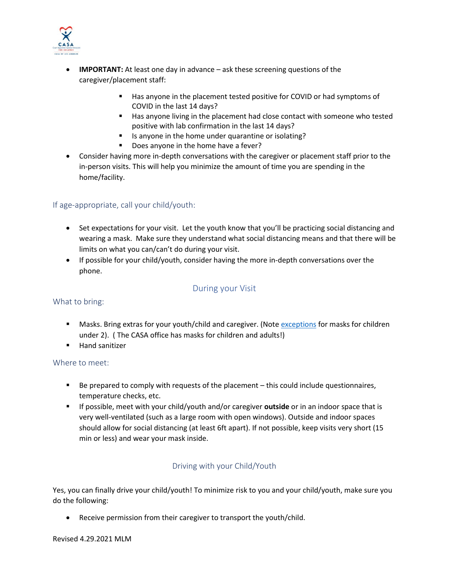

- **IMPORTANT:** At least one day in advance ask these screening questions of the caregiver/placement staff:
	- Has anyone in the placement tested positive for COVID or had symptoms of COVID in the last 14 days?
	- Has anyone living in the placement had close contact with someone who tested positive with lab confirmation in the last 14 days?
	- Is anyone in the home under quarantine or isolating?
	- Does anyone in the home have a fever?
- Consider having more in-depth conversations with the caregiver or placement staff prior to the in-person visits. This will help you minimize the amount of time you are spending in the home/facility.

## If age-appropriate, call your child/youth:

- Set expectations for your visit. Let the youth know that you'll be practicing social distancing and wearing a mask. Make sure they understand what social distancing means and that there will be limits on what you can/can't do during your visit.
- If possible for your child/youth, consider having the more in-depth conversations over the phone.

# During your Visit

## What to bring:

- Masks. Bring extras for your youth/child and caregiver. (Note [exceptions](https://laist.com/2020/04/08/face-masks-infant-toddlers-coronavirus.php) for masks for children under 2). ( The CASA office has masks for children and adults!)
- Hand sanitizer

## Where to meet:

- Be prepared to comply with requests of the placement this could include questionnaires, temperature checks, etc.
- If possible, meet with your child/youth and/or caregiver **outside** or in an indoor space that is very well-ventilated (such as a large room with open windows). Outside and indoor spaces should allow for social distancing (at least 6ft apart). If not possible, keep visits very short (15 min or less) and wear your mask inside.

# Driving with your Child/Youth

Yes, you can finally drive your child/youth! To minimize risk to you and your child/youth, make sure you do the following:

Receive permission from their caregiver to transport the youth/child.